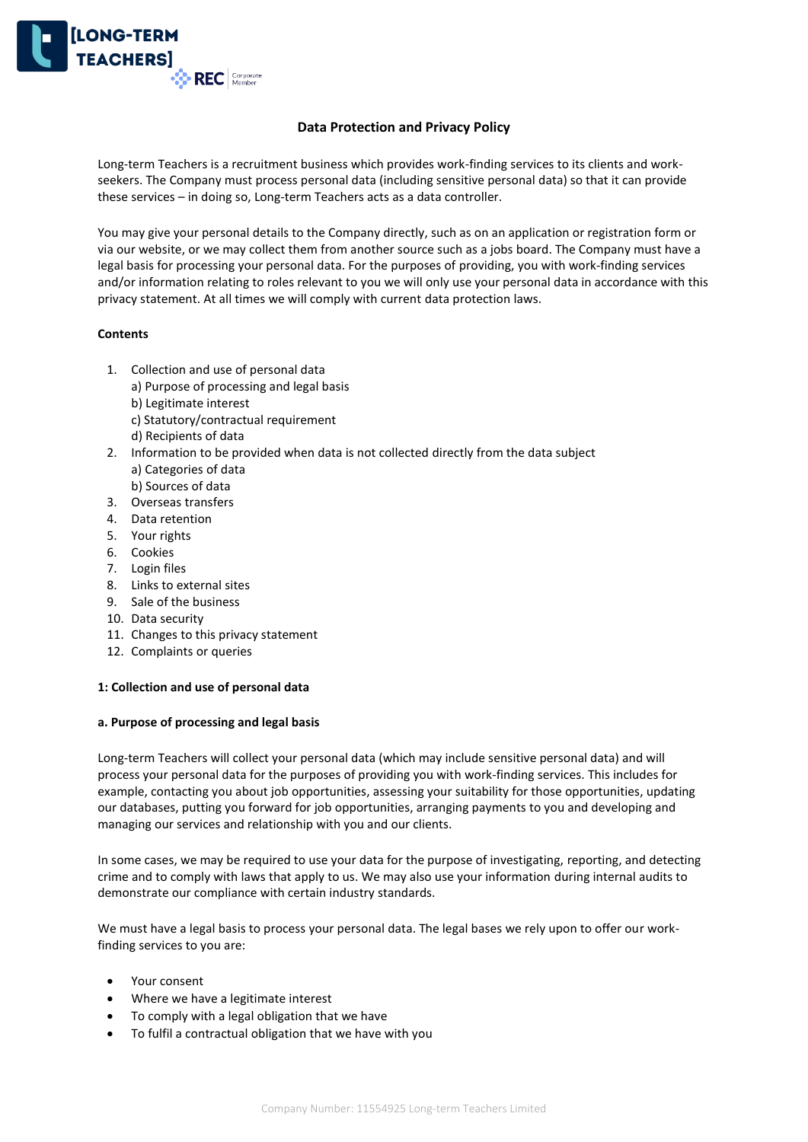

# **Data Protection and Privacy Policy**

Long-term Teachers is a recruitment business which provides work-finding services to its clients and workseekers. The Company must process personal data (including sensitive personal data) so that it can provide these services – in doing so, Long-term Teachers acts as a data controller.

You may give your personal details to the Company directly, such as on an application or registration form or via our website, or we may collect them from another source such as a jobs board. The Company must have a legal basis for processing your personal data. For the purposes of providing, you with work-finding services and/or information relating to roles relevant to you we will only use your personal data in accordance with this privacy statement. At all times we will comply with current data protection laws.

## **Contents**

- 1. Collection and use of personal data
	- a) Purpose of processing and legal basis
	- b) Legitimate interest
	- c) Statutory/contractual requirement
	- d) Recipients of data
- 2. Information to be provided when data is not collected directly from the data subject a) Categories of data
	- b) Sources of data
- 3. Overseas transfers
- 4. Data retention
- 5. Your rights
- 6. Cookies
- 7. Login files
- 8. Links to external sites
- 9. Sale of the business
- 10. Data security
- 11. Changes to this privacy statement
- 12. Complaints or queries

## **1: Collection and use of personal data**

## **a. Purpose of processing and legal basis**

Long-term Teachers will collect your personal data (which may include sensitive personal data) and will process your personal data for the purposes of providing you with work-finding services. This includes for example, contacting you about job opportunities, assessing your suitability for those opportunities, updating our databases, putting you forward for job opportunities, arranging payments to you and developing and managing our services and relationship with you and our clients.

In some cases, we may be required to use your data for the purpose of investigating, reporting, and detecting crime and to comply with laws that apply to us. We may also use your information during internal audits to demonstrate our compliance with certain industry standards.

We must have a legal basis to process your personal data. The legal bases we rely upon to offer our workfinding services to you are:

- Your consent
- Where we have a legitimate interest
- To comply with a legal obligation that we have
- To fulfil a contractual obligation that we have with you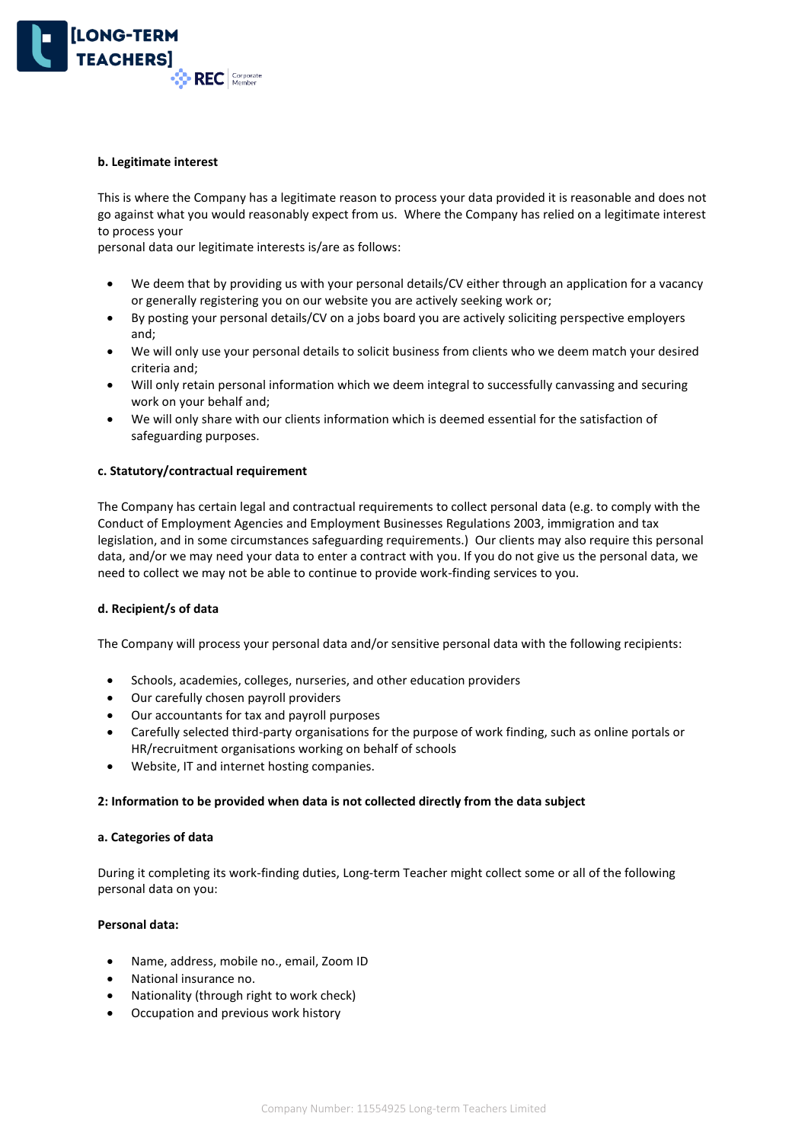

#### **b. Legitimate interest**

This is where the Company has a legitimate reason to process your data provided it is reasonable and does not go against what you would reasonably expect from us. Where the Company has relied on a legitimate interest to process your

personal data our legitimate interests is/are as follows:

- We deem that by providing us with your personal details/CV either through an application for a vacancy or generally registering you on our website you are actively seeking work or;
- By posting your personal details/CV on a jobs board you are actively soliciting perspective employers and;
- We will only use your personal details to solicit business from clients who we deem match your desired criteria and;
- Will only retain personal information which we deem integral to successfully canvassing and securing work on your behalf and;
- We will only share with our clients information which is deemed essential for the satisfaction of safeguarding purposes.

### **c. Statutory/contractual requirement**

The Company has certain legal and contractual requirements to collect personal data (e.g. to comply with the Conduct of Employment Agencies and Employment Businesses Regulations 2003, immigration and tax legislation, and in some circumstances safeguarding requirements.) Our clients may also require this personal data, and/or we may need your data to enter a contract with you. If you do not give us the personal data, we need to collect we may not be able to continue to provide work-finding services to you.

### **d. Recipient/s of data**

The Company will process your personal data and/or sensitive personal data with the following recipients:

- Schools, academies, colleges, nurseries, and other education providers
- Our carefully chosen payroll providers
- Our accountants for tax and payroll purposes
- Carefully selected third-party organisations for the purpose of work finding, such as online portals or HR/recruitment organisations working on behalf of schools
- Website, IT and internet hosting companies.

### **2: Information to be provided when data is not collected directly from the data subject**

### **a. Categories of data**

During it completing its work-finding duties, Long-term Teacher might collect some or all of the following personal data on you:

### **Personal data:**

- Name, address, mobile no., email, Zoom ID
- National insurance no.
- Nationality (through right to work check)
- Occupation and previous work history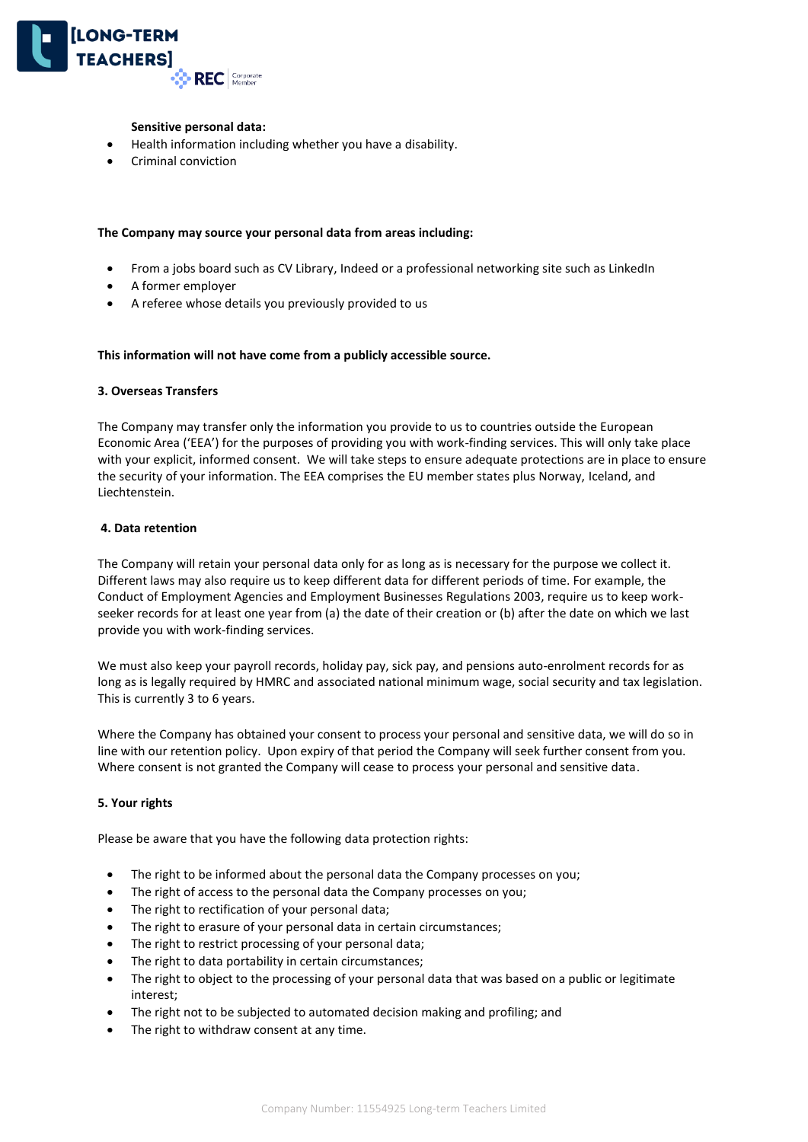

### **Sensitive personal data:**

- Health information including whether you have a disability.
- Criminal conviction

### **The Company may source your personal data from areas including:**

- From a jobs board such as CV Library, Indeed or a professional networking site such as LinkedIn
- A former employer
- A referee whose details you previously provided to us

### **This information will not have come from a publicly accessible source.**

### **3. Overseas Transfers**

The Company may transfer only the information you provide to us to countries outside the European Economic Area ('EEA') for the purposes of providing you with work-finding services. This will only take place with your explicit, informed consent. We will take steps to ensure adequate protections are in place to ensure the security of your information. The EEA comprises the EU member states plus Norway, Iceland, and Liechtenstein.

### **4. Data retention**

The Company will retain your personal data only for as long as is necessary for the purpose we collect it. Different laws may also require us to keep different data for different periods of time. For example, the Conduct of Employment Agencies and Employment Businesses Regulations 2003, require us to keep workseeker records for at least one year from (a) the date of their creation or (b) after the date on which we last provide you with work-finding services.

We must also keep your payroll records, holiday pay, sick pay, and pensions auto-enrolment records for as long as is legally required by HMRC and associated national minimum wage, social security and tax legislation. This is currently 3 to 6 years.

Where the Company has obtained your consent to process your personal and sensitive data, we will do so in line with our retention policy. Upon expiry of that period the Company will seek further consent from you. Where consent is not granted the Company will cease to process your personal and sensitive data.

## **5. Your rights**

Please be aware that you have the following data protection rights:

- The right to be informed about the personal data the Company processes on you;
- The right of access to the personal data the Company processes on you;
- The right to rectification of your personal data;
- The right to erasure of your personal data in certain circumstances;
- The right to restrict processing of your personal data;
- The right to data portability in certain circumstances;
- The right to object to the processing of your personal data that was based on a public or legitimate interest;
- The right not to be subjected to automated decision making and profiling; and
- The right to withdraw consent at any time.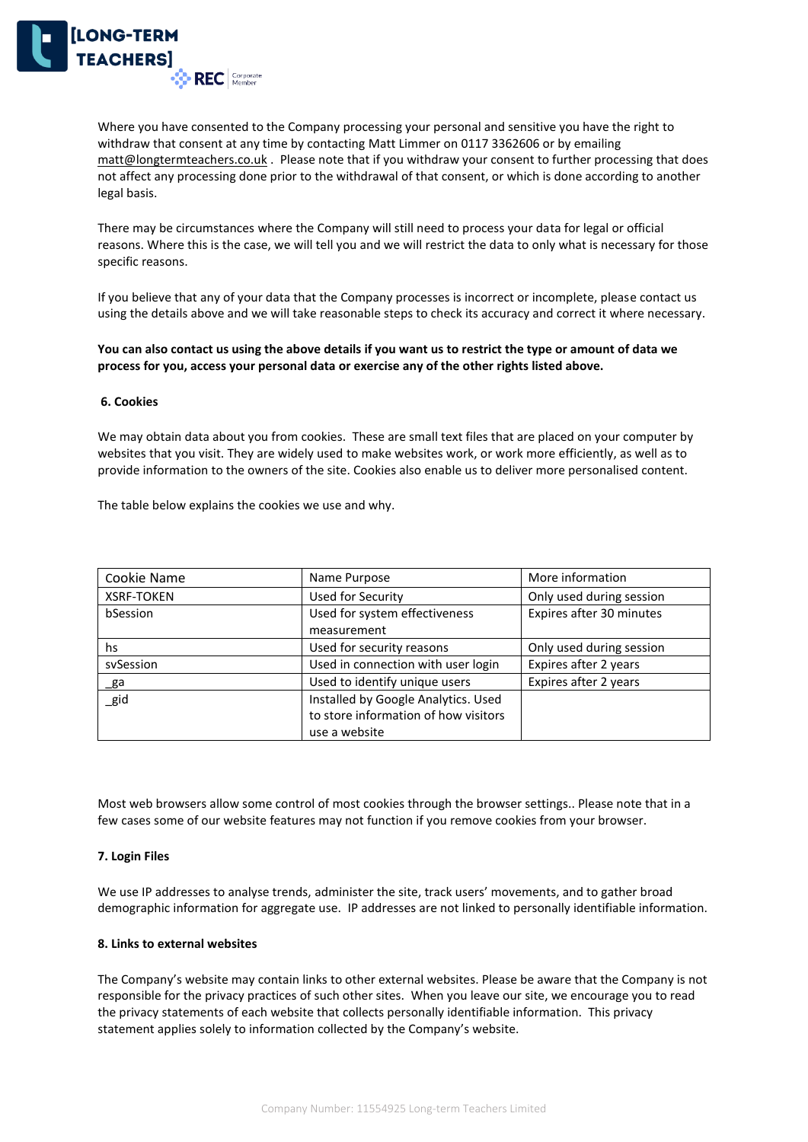

Where you have consented to the Company processing your personal and sensitive you have the right to withdraw that consent at any time by contacting Matt Limmer on 0117 3362606 or by emailing [matt@longtermteachers.co.uk](mailto:matt@longtermteachers.co.uk) . Please note that if you withdraw your consent to further processing that does not affect any processing done prior to the withdrawal of that consent, or which is done according to another legal basis.

There may be circumstances where the Company will still need to process your data for legal or official reasons. Where this is the case, we will tell you and we will restrict the data to only what is necessary for those specific reasons.

If you believe that any of your data that the Company processes is incorrect or incomplete, please contact us using the details above and we will take reasonable steps to check its accuracy and correct it where necessary.

**You can also contact us using the above details if you want us to restrict the type or amount of data we process for you, access your personal data or exercise any of the other rights listed above.**

### **6. Cookies**

We may obtain data about you from cookies. These are small text files that are placed on your computer by websites that you visit. They are widely used to make websites work, or work more efficiently, as well as to provide information to the owners of the site. Cookies also enable us to deliver more personalised content.

The table below explains the cookies we use and why.

| Cookie Name       | Name Purpose                         | More information         |
|-------------------|--------------------------------------|--------------------------|
| <b>XSRF-TOKEN</b> | Used for Security                    | Only used during session |
| bSession          | Used for system effectiveness        | Expires after 30 minutes |
|                   | measurement                          |                          |
| hs                | Used for security reasons            | Only used during session |
| sySession         | Used in connection with user login   | Expires after 2 years    |
| _ga               | Used to identify unique users        | Expires after 2 years    |
| $\_$ gid          | Installed by Google Analytics. Used  |                          |
|                   | to store information of how visitors |                          |
|                   | use a website                        |                          |

Most web browsers allow some control of most cookies through the browser settings.. Please note that in a few cases some of our website features may not function if you remove cookies from your browser.

### **7. Login Files**

We use IP addresses to analyse trends, administer the site, track users' movements, and to gather broad demographic information for aggregate use. IP addresses are not linked to personally identifiable information.

#### **8. Links to external websites**

The Company's website may contain links to other external websites. Please be aware that the Company is not responsible for the privacy practices of such other sites. When you leave our site, we encourage you to read the privacy statements of each website that collects personally identifiable information. This privacy statement applies solely to information collected by the Company's website.